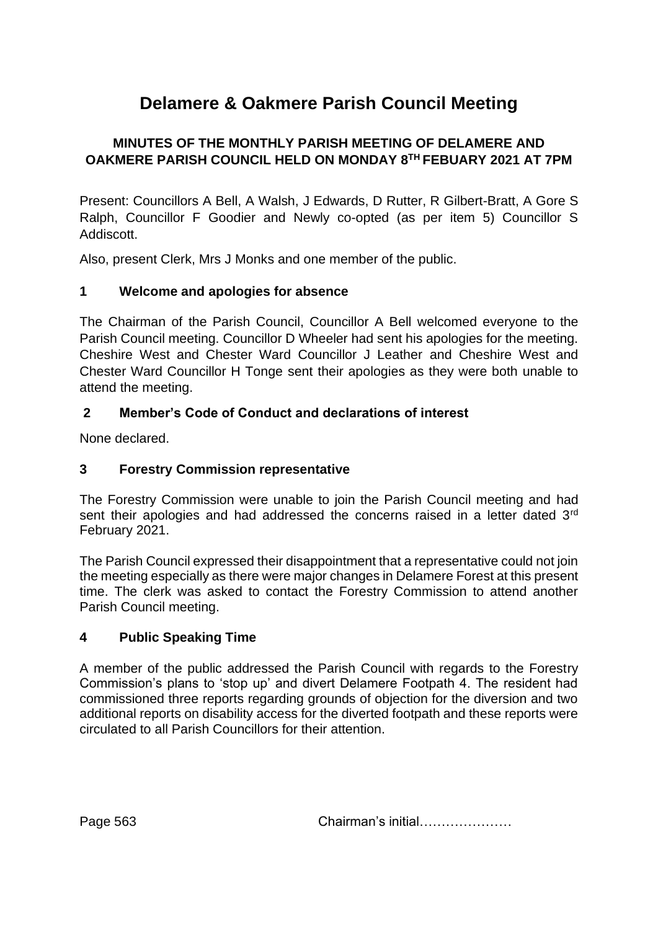# **Delamere & Oakmere Parish Council Meeting**

# **MINUTES OF THE MONTHLY PARISH MEETING OF DELAMERE AND OAKMERE PARISH COUNCIL HELD ON MONDAY 8TH FEBUARY 2021 AT 7PM**

Present: Councillors A Bell, A Walsh, J Edwards, D Rutter, R Gilbert-Bratt, A Gore S Ralph, Councillor F Goodier and Newly co-opted (as per item 5) Councillor S Addiscott.

Also, present Clerk, Mrs J Monks and one member of the public.

# **1 Welcome and apologies for absence**

The Chairman of the Parish Council, Councillor A Bell welcomed everyone to the Parish Council meeting. Councillor D Wheeler had sent his apologies for the meeting. Cheshire West and Chester Ward Councillor J Leather and Cheshire West and Chester Ward Councillor H Tonge sent their apologies as they were both unable to attend the meeting.

# **2 Member's Code of Conduct and declarations of interest**

None declared.

# **3 Forestry Commission representative**

The Forestry Commission were unable to join the Parish Council meeting and had sent their apologies and had addressed the concerns raised in a letter dated 3<sup>rd</sup> February 2021.

The Parish Council expressed their disappointment that a representative could not join the meeting especially as there were major changes in Delamere Forest at this present time. The clerk was asked to contact the Forestry Commission to attend another Parish Council meeting.

## **4 Public Speaking Time**

A member of the public addressed the Parish Council with regards to the Forestry Commission's plans to 'stop up' and divert Delamere Footpath 4. The resident had commissioned three reports regarding grounds of objection for the diversion and two additional reports on disability access for the diverted footpath and these reports were circulated to all Parish Councillors for their attention.

Page 563 **Chairman's initial…………………**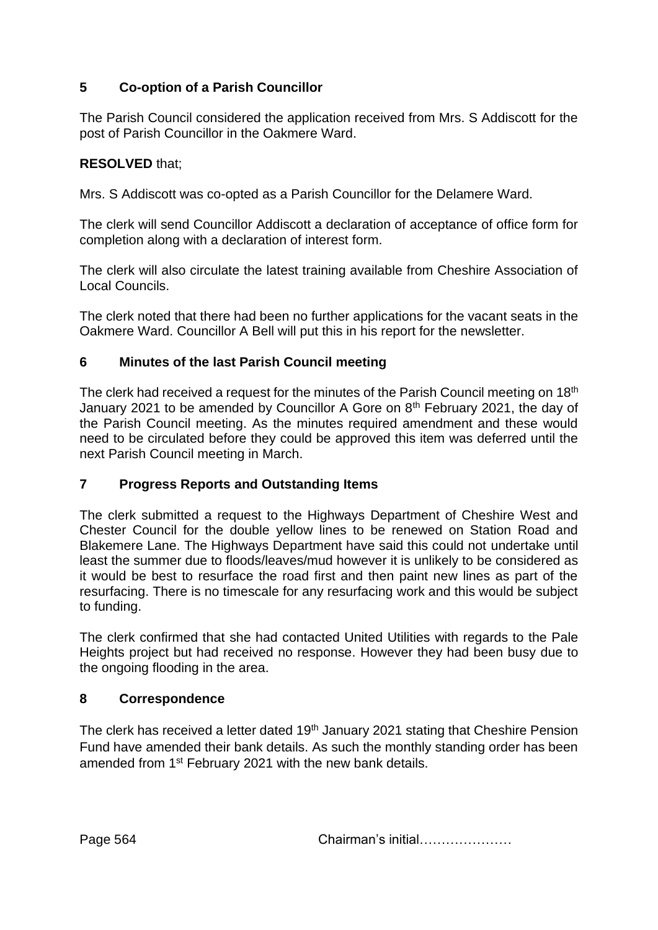# **5 Co-option of a Parish Councillor**

The Parish Council considered the application received from Mrs. S Addiscott for the post of Parish Councillor in the Oakmere Ward.

# **RESOLVED** that;

Mrs. S Addiscott was co-opted as a Parish Councillor for the Delamere Ward.

The clerk will send Councillor Addiscott a declaration of acceptance of office form for completion along with a declaration of interest form.

The clerk will also circulate the latest training available from Cheshire Association of Local Councils.

The clerk noted that there had been no further applications for the vacant seats in the Oakmere Ward. Councillor A Bell will put this in his report for the newsletter.

# **6 Minutes of the last Parish Council meeting**

The clerk had received a request for the minutes of the Parish Council meeting on 18<sup>th</sup> January 2021 to be amended by Councillor A Gore on 8th February 2021, the day of the Parish Council meeting. As the minutes required amendment and these would need to be circulated before they could be approved this item was deferred until the next Parish Council meeting in March.

## **7 Progress Reports and Outstanding Items**

The clerk submitted a request to the Highways Department of Cheshire West and Chester Council for the double yellow lines to be renewed on Station Road and Blakemere Lane. The Highways Department have said this could not undertake until least the summer due to floods/leaves/mud however it is unlikely to be considered as it would be best to resurface the road first and then paint new lines as part of the resurfacing. There is no timescale for any resurfacing work and this would be subject to funding.

The clerk confirmed that she had contacted United Utilities with regards to the Pale Heights project but had received no response. However they had been busy due to the ongoing flooding in the area.

# **8 Correspondence**

The clerk has received a letter dated 19<sup>th</sup> January 2021 stating that Cheshire Pension Fund have amended their bank details. As such the monthly standing order has been amended from 1<sup>st</sup> February 2021 with the new bank details.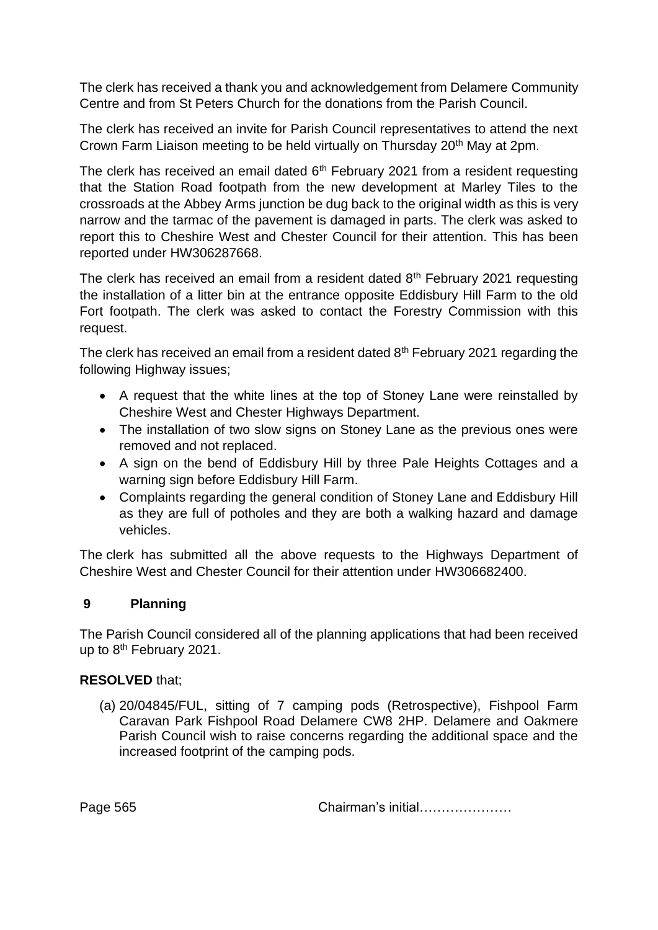The clerk has received a thank you and acknowledgement from Delamere Community Centre and from St Peters Church for the donations from the Parish Council.

The clerk has received an invite for Parish Council representatives to attend the next Crown Farm Liaison meeting to be held virtually on Thursday 20<sup>th</sup> May at 2pm.

The clerk has received an email dated  $6<sup>th</sup>$  February 2021 from a resident requesting that the Station Road footpath from the new development at Marley Tiles to the crossroads at the Abbey Arms junction be dug back to the original width as this is very narrow and the tarmac of the pavement is damaged in parts. The clerk was asked to report this to Cheshire West and Chester Council for their attention. This has been reported under HW306287668.

The clerk has received an email from a resident dated  $8<sup>th</sup>$  February 2021 requesting the installation of a litter bin at the entrance opposite Eddisbury Hill Farm to the old Fort footpath. The clerk was asked to contact the Forestry Commission with this request.

The clerk has received an email from a resident dated  $8<sup>th</sup>$  February 2021 regarding the following Highway issues;

- A request that the white lines at the top of Stoney Lane were reinstalled by Cheshire West and Chester Highways Department.
- The installation of two slow signs on Stoney Lane as the previous ones were removed and not replaced.
- A sign on the bend of Eddisbury Hill by three Pale Heights Cottages and a warning sign before Eddisbury Hill Farm.
- Complaints regarding the general condition of Stoney Lane and Eddisbury Hill as they are full of potholes and they are both a walking hazard and damage vehicles.

The clerk has submitted all the above requests to the Highways Department of Cheshire West and Chester Council for their attention under HW306682400.

## **9 Planning**

The Parish Council considered all of the planning applications that had been received up to 8<sup>th</sup> February 2021.

#### **RESOLVED** that;

(a) 20/04845/FUL, sitting of 7 camping pods (Retrospective), Fishpool Farm Caravan Park Fishpool Road Delamere CW8 2HP. Delamere and Oakmere Parish Council wish to raise concerns regarding the additional space and the increased footprint of the camping pods.

Page 565 **Chairman's initial………………**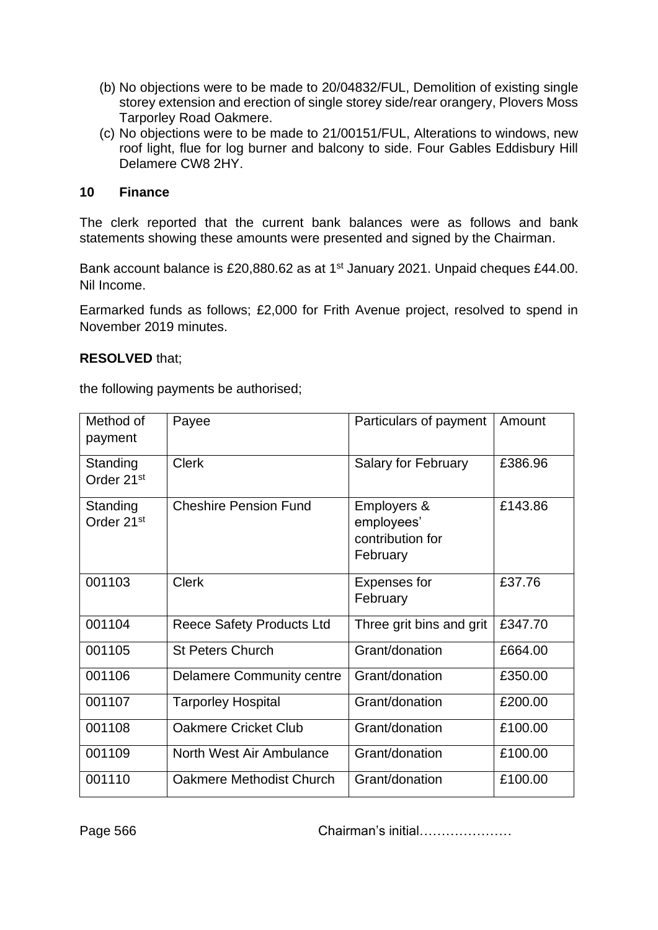- (b) No objections were to be made to 20/04832/FUL, Demolition of existing single storey extension and erection of single storey side/rear orangery, Plovers Moss Tarporley Road Oakmere.
- (c) No objections were to be made to 21/00151/FUL, Alterations to windows, new roof light, flue for log burner and balcony to side. Four Gables Eddisbury Hill Delamere CW8 2HY.

#### **10 Finance**

The clerk reported that the current bank balances were as follows and bank statements showing these amounts were presented and signed by the Chairman.

Bank account balance is £20,880.62 as at 1<sup>st</sup> January 2021. Unpaid cheques £44.00. Nil Income.

Earmarked funds as follows; £2,000 for Frith Avenue project, resolved to spend in November 2019 minutes.

#### **RESOLVED** that;

the following payments be authorised;

| Method of<br>payment               | Payee                            | Particulars of payment                                    | Amount  |
|------------------------------------|----------------------------------|-----------------------------------------------------------|---------|
| Standing<br>Order 21 <sup>st</sup> | <b>Clerk</b>                     | <b>Salary for February</b>                                | £386.96 |
| Standing<br>Order 21 <sup>st</sup> | <b>Cheshire Pension Fund</b>     | Employers &<br>employees'<br>contribution for<br>February | £143.86 |
| 001103                             | <b>Clerk</b>                     | Expenses for<br>February                                  | £37.76  |
| 001104                             | <b>Reece Safety Products Ltd</b> | Three grit bins and grit                                  | £347.70 |
| 001105                             | <b>St Peters Church</b>          | Grant/donation                                            | £664.00 |
| 001106                             | <b>Delamere Community centre</b> | Grant/donation                                            | £350.00 |
| 001107                             | <b>Tarporley Hospital</b>        | Grant/donation                                            | £200.00 |
| 001108                             | <b>Oakmere Cricket Club</b>      | Grant/donation                                            | £100.00 |
| 001109                             | North West Air Ambulance         | Grant/donation                                            | £100.00 |
| 001110                             | Oakmere Methodist Church         | Grant/donation                                            | £100.00 |

Page 566 **Chairman's initial………………**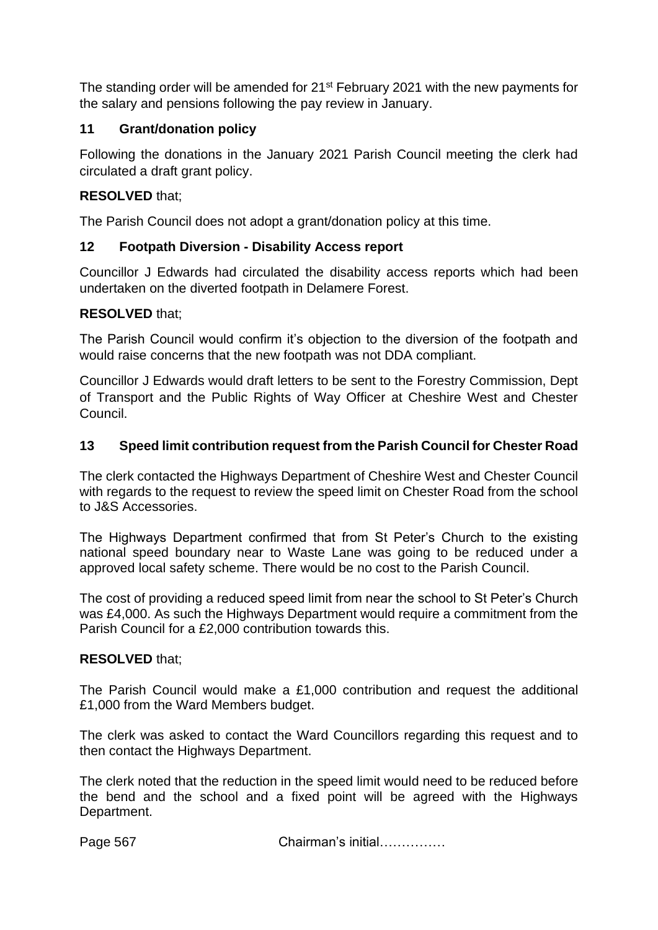The standing order will be amended for 21st February 2021 with the new payments for the salary and pensions following the pay review in January.

# **11 Grant/donation policy**

Following the donations in the January 2021 Parish Council meeting the clerk had circulated a draft grant policy.

## **RESOLVED** that;

The Parish Council does not adopt a grant/donation policy at this time.

## **12 Footpath Diversion - Disability Access report**

Councillor J Edwards had circulated the disability access reports which had been undertaken on the diverted footpath in Delamere Forest.

#### **RESOLVED** that;

The Parish Council would confirm it's objection to the diversion of the footpath and would raise concerns that the new footpath was not DDA compliant.

Councillor J Edwards would draft letters to be sent to the Forestry Commission, Dept of Transport and the Public Rights of Way Officer at Cheshire West and Chester Council.

#### **13 Speed limit contribution request from the Parish Council for Chester Road**

The clerk contacted the Highways Department of Cheshire West and Chester Council with regards to the request to review the speed limit on Chester Road from the school to J&S Accessories.

The Highways Department confirmed that from St Peter's Church to the existing national speed boundary near to Waste Lane was going to be reduced under a approved local safety scheme. There would be no cost to the Parish Council.

The cost of providing a reduced speed limit from near the school to St Peter's Church was £4,000. As such the Highways Department would require a commitment from the Parish Council for a £2,000 contribution towards this.

## **RESOLVED** that;

The Parish Council would make a £1,000 contribution and request the additional £1,000 from the Ward Members budget.

The clerk was asked to contact the Ward Councillors regarding this request and to then contact the Highways Department.

The clerk noted that the reduction in the speed limit would need to be reduced before the bend and the school and a fixed point will be agreed with the Highways Department.

Page 567 Chairman's initial……………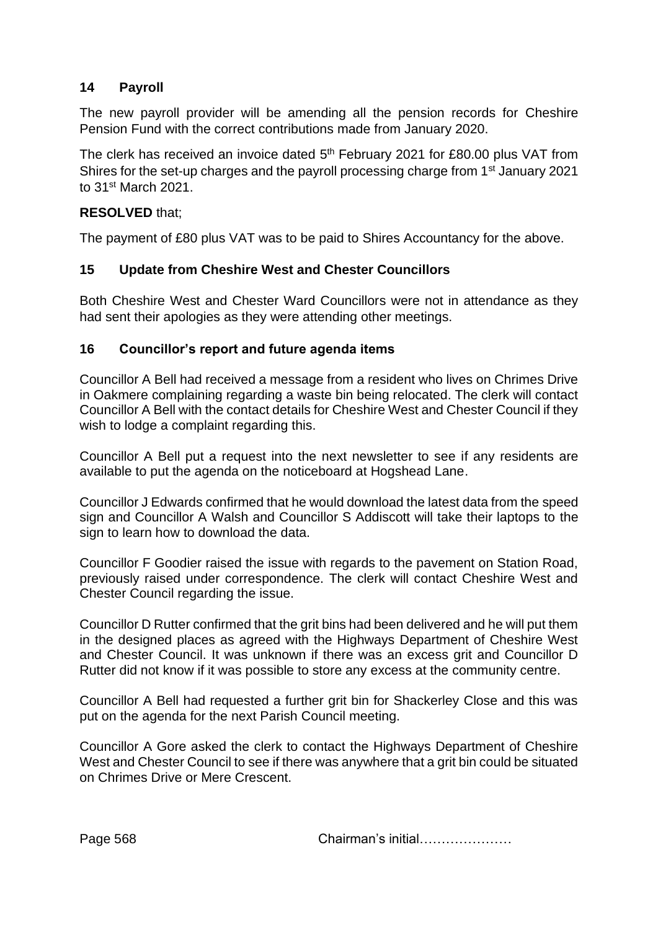### **14 Payroll**

The new payroll provider will be amending all the pension records for Cheshire Pension Fund with the correct contributions made from January 2020.

The clerk has received an invoice dated  $5<sup>th</sup>$  February 2021 for £80.00 plus VAT from Shires for the set-up charges and the payroll processing charge from 1<sup>st</sup> January 2021 to 31st March 2021.

#### **RESOLVED** that;

The payment of £80 plus VAT was to be paid to Shires Accountancy for the above.

#### **15 Update from Cheshire West and Chester Councillors**

Both Cheshire West and Chester Ward Councillors were not in attendance as they had sent their apologies as they were attending other meetings.

#### **16 Councillor's report and future agenda items**

Councillor A Bell had received a message from a resident who lives on Chrimes Drive in Oakmere complaining regarding a waste bin being relocated. The clerk will contact Councillor A Bell with the contact details for Cheshire West and Chester Council if they wish to lodge a complaint regarding this.

Councillor A Bell put a request into the next newsletter to see if any residents are available to put the agenda on the noticeboard at Hogshead Lane.

Councillor J Edwards confirmed that he would download the latest data from the speed sign and Councillor A Walsh and Councillor S Addiscott will take their laptops to the sign to learn how to download the data.

Councillor F Goodier raised the issue with regards to the pavement on Station Road, previously raised under correspondence. The clerk will contact Cheshire West and Chester Council regarding the issue.

Councillor D Rutter confirmed that the grit bins had been delivered and he will put them in the designed places as agreed with the Highways Department of Cheshire West and Chester Council. It was unknown if there was an excess grit and Councillor D Rutter did not know if it was possible to store any excess at the community centre.

Councillor A Bell had requested a further grit bin for Shackerley Close and this was put on the agenda for the next Parish Council meeting.

Councillor A Gore asked the clerk to contact the Highways Department of Cheshire West and Chester Council to see if there was anywhere that a grit bin could be situated on Chrimes Drive or Mere Crescent.

Page 568 **Chairman's initial………………**